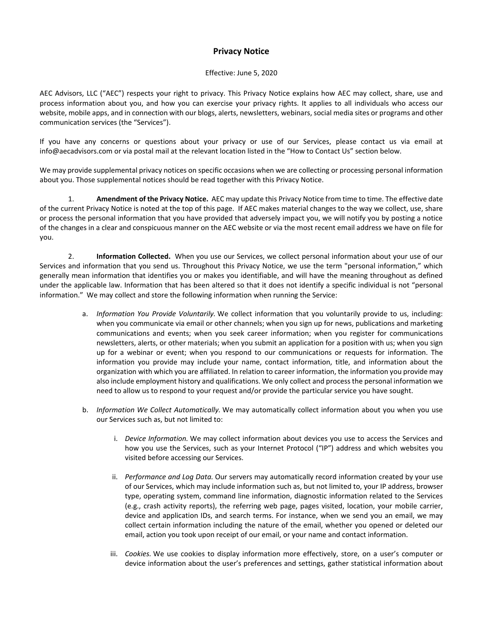## **Privacy Notice**

## Effective: June 5, 2020

AEC Advisors, LLC ("AEC") respects your right to privacy. This Privacy Notice explains how AEC may collect, share, use and process information about you, and how you can exercise your privacy rights. It applies to all individuals who access our website, mobile apps, and in connection with our blogs, alerts, newsletters, webinars, social media sites or programs and other communication services (the "Services").

If you have any concerns or questions about your privacy or use of our Services, please contact us via email at info@aecadvisors.com or via postal mail at the relevant location listed in the "How to Contact Us" section below.

We may provide supplemental privacy notices on specific occasions when we are collecting or processing personal information about you. Those supplemental notices should be read together with this Privacy Notice.

1. **Amendment of the Privacy Notice.** AEC may update this Privacy Notice from time to time. The effective date of the current Privacy Notice is noted at the top of this page. If AEC makes material changes to the way we collect, use, share or process the personal information that you have provided that adversely impact you, we will notify you by posting a notice of the changes in a clear and conspicuous manner on the AEC website or via the most recent email address we have on file for you.

2. **Information Collected.** When you use our Services, we collect personal information about your use of our Services and information that you send us. Throughout this Privacy Notice, we use the term "personal information," which generally mean information that identifies you or makes you identifiable, and will have the meaning throughout as defined under the applicable law. Information that has been altered so that it does not identify a specific individual is not "personal information." We may collect and store the following information when running the Service:

- a. *Information You Provide Voluntarily.* We collect information that you voluntarily provide to us, including: when you communicate via email or other channels; when you sign up for news, publications and marketing communications and events; when you seek career information; when you register for communications newsletters, alerts, or other materials; when you submit an application for a position with us; when you sign up for a webinar or event; when you respond to our communications or requests for information. The information you provide may include your name, contact information, title, and information about the organization with which you are affiliated. In relation to career information, the information you provide may also include employment history and qualifications. We only collect and process the personal information we need to allow us to respond to your request and/or provide the particular service you have sought.
- b. *Information We Collect Automatically.* We may automatically collect information about you when you use our Services such as, but not limited to:
	- i. *Device Information.* We may collect information about devices you use to access the Services and how you use the Services, such as your Internet Protocol ("IP") address and which websites you visited before accessing our Services.
	- ii. *Performance and Log Data.* Our servers may automatically record information created by your use of our Services, which may include information such as, but not limited to, your IP address, browser type, operating system, command line information, diagnostic information related to the Services (e.g., crash activity reports), the referring web page, pages visited, location, your mobile carrier, device and application IDs, and search terms. For instance, when we send you an email, we may collect certain information including the nature of the email, whether you opened or deleted our email, action you took upon receipt of our email, or your name and contact information.
	- iii. *Cookies.* We use cookies to display information more effectively, store, on a user's computer or device information about the user's preferences and settings, gather statistical information about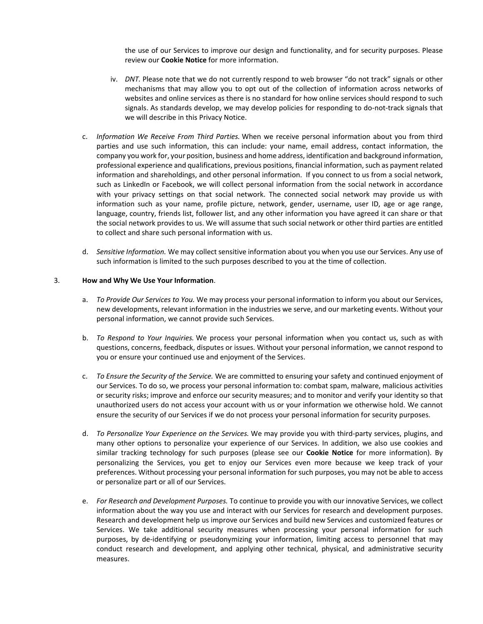the use of our Services to improve our design and functionality, and for security purposes. Please review our **Cookie Notice** for more information.

- iv. *DNT.* Please note that we do not currently respond to web browser "do not track" signals or other mechanisms that may allow you to opt out of the collection of information across networks of websites and online services as there is no standard for how online services should respond to such signals. As standards develop, we may develop policies for responding to do-not-track signals that we will describe in this Privacy Notice.
- c. *Information We Receive From Third Parties.* When we receive personal information about you from third parties and use such information, this can include: your name, email address, contact information, the company you work for, your position, business and home address, identification and background information, professional experience and qualifications, previous positions, financial information, such as payment related information and shareholdings, and other personal information. If you connect to us from a social network, such as LinkedIn or Facebook, we will collect personal information from the social network in accordance with your privacy settings on that social network. The connected social network may provide us with information such as your name, profile picture, network, gender, username, user ID, age or age range, language, country, friends list, follower list, and any other information you have agreed it can share or that the social network provides to us. We will assume that such social network or other third parties are entitled to collect and share such personal information with us.
- d. *Sensitive Information.* We may collect sensitive information about you when you use our Services. Any use of such information is limited to the such purposes described to you at the time of collection.

## 3. **How and Why We Use Your Information**.

- a. *To Provide Our Services to You.* We may process your personal information to inform you about our Services, new developments, relevant information in the industries we serve, and our marketing events. Without your personal information, we cannot provide such Services.
- b. *To Respond to Your Inquiries.* We process your personal information when you contact us, such as with questions, concerns, feedback, disputes or issues. Without your personal information, we cannot respond to you or ensure your continued use and enjoyment of the Services.
- c. *To Ensure the Security of the Service.* We are committed to ensuring your safety and continued enjoyment of our Services. To do so, we process your personal information to: combat spam, malware, malicious activities or security risks; improve and enforce our security measures; and to monitor and verify your identity so that unauthorized users do not access your account with us or your information we otherwise hold. We cannot ensure the security of our Services if we do not process your personal information for security purposes.
- d. *To Personalize Your Experience on the Services.* We may provide you with third-party services, plugins, and many other options to personalize your experience of our Services. In addition, we also use cookies and similar tracking technology for such purposes (please see our **Cookie Notice** for more information). By personalizing the Services, you get to enjoy our Services even more because we keep track of your preferences. Without processing your personal information for such purposes, you may not be able to access or personalize part or all of our Services.
- e. *For Research and Development Purposes.* To continue to provide you with our innovative Services, we collect information about the way you use and interact with our Services for research and development purposes. Research and development help us improve our Services and build new Services and customized features or Services. We take additional security measures when processing your personal information for such purposes, by de-identifying or pseudonymizing your information, limiting access to personnel that may conduct research and development, and applying other technical, physical, and administrative security measures.